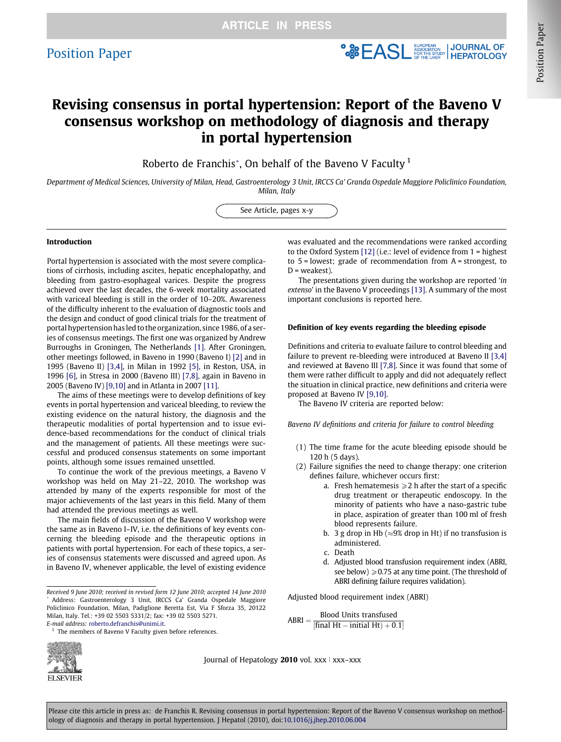

# Revising consensus in portal hypertension: Report of the Baveno V consensus workshop on methodology of diagnosis and therapy in portal hypertension

Roberto de Franchis<sup>\*</sup>, On behalf of the Baveno V Faculty<sup>1</sup>

Department of Medical Sciences, University of Milan, Head, Gastroenterology 3 Unit, IRCCS Ca' Granda Ospedale Maggiore Policlinico Foundation, Milan, Italy

See Article, pages x-y

# Introduction

Portal hypertension is associated with the most severe complications of cirrhosis, including ascites, hepatic encephalopathy, and bleeding from gastro-esophageal varices. Despite the progress achieved over the last decades, the 6-week mortality associated with variceal bleeding is still in the order of 10–20%. Awareness of the difficulty inherent to the evaluation of diagnostic tools and the design and conduct of good clinical trials for the treatment of portal hypertension has led to the organization, since 1986, of a series of consensus meetings. The first one was organized by Andrew Burroughs in Groningen, The Netherlands [\[1\].](#page-6-0) After Groningen, other meetings followed, in Baveno in 1990 (Baveno I) [\[2\]](#page-6-0) and in 1995 (Baveno II) [\[3,4\],](#page-6-0) in Milan in 1992 [\[5\]](#page-6-0), in Reston, USA, in 1996 [\[6\],](#page-6-0) in Stresa in 2000 (Baveno III) [\[7,8\]](#page-6-0), again in Baveno in 2005 (Baveno IV) [\[9,10\]](#page-6-0) and in Atlanta in 2007 [\[11\]](#page-6-0).

The aims of these meetings were to develop definitions of key events in portal hypertension and variceal bleeding, to review the existing evidence on the natural history, the diagnosis and the therapeutic modalities of portal hypertension and to issue evidence-based recommendations for the conduct of clinical trials and the management of patients. All these meetings were successful and produced consensus statements on some important points, although some issues remained unsettled.

To continue the work of the previous meetings, a Baveno V workshop was held on May 21–22, 2010. The workshop was attended by many of the experts responsible for most of the major achievements of the last years in this field. Many of them had attended the previous meetings as well.

The main fields of discussion of the Baveno V workshop were the same as in Baveno I–IV, i.e. the definitions of key events concerning the bleeding episode and the therapeutic options in patients with portal hypertension. For each of these topics, a series of consensus statements were discussed and agreed upon. As in Baveno IV, whenever applicable, the level of existing evidence

Received 9 June 2010; received in revised form 12 June 2010; accepted 14 June 2010 Address: Gastroenterology 3 Unit, IRCCS Ca' Granda Ospedale Maggiore Policlinico Foundation, Milan, Padiglione Beretta Est, Via F Sforza 35, 20122 Milan, Italy. Tel.: +39 02 5503 5331/2; fax: +39 02 5503 5271. E-mail address: [roberto.defranchis@unimi.it](mailto:roberto.defranchis@unimi.it).

 $1$  The members of Baveno V Faculty given before references.



Journal of Hepatology 2010 vol. xxx  $\frac{1}{2}$  xxx–xxx

was evaluated and the recommendations were ranked according to the Oxford System [\[12\]](#page-6-0) (i.e.: level of evidence from 1 = highest to  $5$  = lowest; grade of recommendation from  $A$  = strongest, to  $D = weakest$ ).

The presentations given during the workshop are reported 'in extenso' in the Baveno V proceedings [\[13\]](#page-6-0). A summary of the most important conclusions is reported here.

#### Definition of key events regarding the bleeding episode

Definitions and criteria to evaluate failure to control bleeding and failure to prevent re-bleeding were introduced at Baveno II [\[3,4\]](#page-6-0) and reviewed at Baveno III [\[7,8\].](#page-6-0) Since it was found that some of them were rather difficult to apply and did not adequately reflect the situation in clinical practice, new definitions and criteria were proposed at Baveno IV [\[9,10\].](#page-6-0)

The Baveno IV criteria are reported below:

Baveno IV definitions and criteria for failure to control bleeding

- (1) The time frame for the acute bleeding episode should be 120 h (5 days).
- (2) Failure signifies the need to change therapy: one criterion defines failure, whichever occurs first:
	- a. Fresh hematemesis  $\geq 2$  h after the start of a specific drug treatment or therapeutic endoscopy. In the minority of patients who have a naso-gastric tube in place, aspiration of greater than 100 ml of fresh blood represents failure.
	- b. 3 g drop in Hb ( $\approx$ 9% drop in Ht) if no transfusion is administered.
	- c. Death
	- d. Adjusted blood transfusion requirement index (ABRI, see below)  $\geq 0.75$  at any time point. (The threshold of ABRI defining failure requires validation).

Adjusted blood requirement index (ABRI)

 $ABRI =$ Blood Units transfused [final Ht – initial Ht) + 0.1]

Please cite this article in press as: de Franchis R. Revising consensus in portal hypertension: Report of the Baveno V consensus workshop on methodology of diagnosis and therapy in portal hypertension. J Hepatol (2010), doi[:10.1016/j.jhep.2010.06.004](http://dx.doi.org/10.1016/j.jhep.2010.06.004)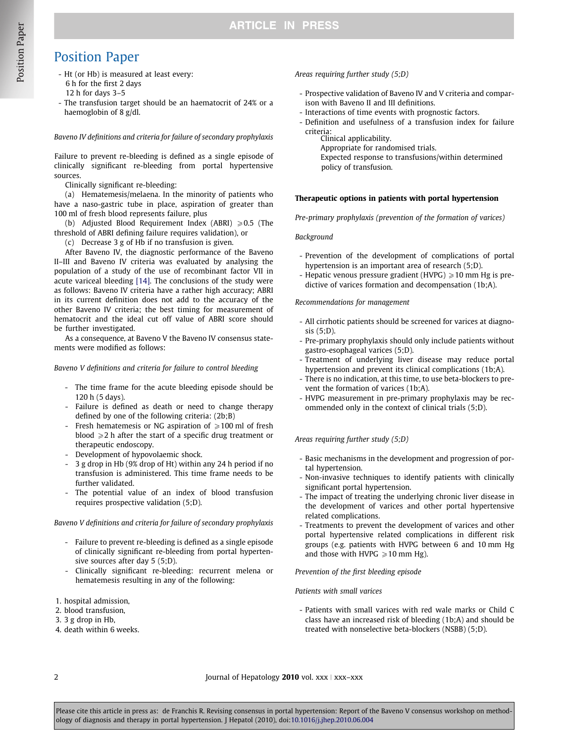# Position Paper

- Ht (or Hb) is measured at least every:

- 6 h for the first 2 days 12 h for days 3–5
- The transfusion target should be an haematocrit of 24% or a haemoglobin of 8 g/dl.

Baveno IV definitions and criteria for failure of secondary prophylaxis

Failure to prevent re-bleeding is defined as a single episode of clinically significant re-bleeding from portal hypertensive sources.

Clinically significant re-bleeding:

(a) Hematemesis/melaena. In the minority of patients who have a naso-gastric tube in place, aspiration of greater than 100 ml of fresh blood represents failure, plus

(b) Adjusted Blood Requirement Index (ABRI)  $\geq 0.5$  (The threshold of ABRI defining failure requires validation), or

(c) Decrease 3 g of Hb if no transfusion is given.

After Baveno IV, the diagnostic performance of the Baveno II–III and Baveno IV criteria was evaluated by analysing the population of a study of the use of recombinant factor VII in acute variceal bleeding [\[14\].](#page-6-0) The conclusions of the study were as follows: Baveno IV criteria have a rather high accuracy; ABRI in its current definition does not add to the accuracy of the other Baveno IV criteria; the best timing for measurement of hematocrit and the ideal cut off value of ABRI score should be further investigated.

As a consequence, at Baveno V the Baveno IV consensus statements were modified as follows:

Baveno V definitions and criteria for failure to control bleeding

- The time frame for the acute bleeding episode should be 120 h (5 days).
- Failure is defined as death or need to change therapy defined by one of the following criteria: (2b;B)
- Fresh hematemesis or NG aspiration of  $\geq 100$  ml of fresh blood  $\geq 2$  h after the start of a specific drug treatment or therapeutic endoscopy.
- Development of hypovolaemic shock.
- 3 g drop in Hb (9% drop of Ht) within any 24 h period if no transfusion is administered. This time frame needs to be further validated.
- The potential value of an index of blood transfusion requires prospective validation (5;D).

Baveno V definitions and criteria for failure of secondary prophylaxis

- Failure to prevent re-bleeding is defined as a single episode of clinically significant re-bleeding from portal hypertensive sources after day 5 (5;D).
- Clinically significant re-bleeding: recurrent melena or hematemesis resulting in any of the following:
- 1. hospital admission,
- 2. blood transfusion,
- 3. 3 g drop in Hb,
- 4. death within 6 weeks.

Areas requiring further study (5;D)

- Prospective validation of Baveno IV and V criteria and comparison with Baveno II and III definitions.
- Interactions of time events with prognostic factors.
- Definition and usefulness of a transfusion index for failure criteria:
	- Clinical applicability.

Appropriate for randomised trials. Expected response to transfusions/within determined policy of transfusion.

# Therapeutic options in patients with portal hypertension

Pre-primary prophylaxis (prevention of the formation of varices)

Background

- Prevention of the development of complications of portal hypertension is an important area of research (5;D).
- Hepatic venous pressure gradient (HVPG)  $\geq 10$  mm Hg is predictive of varices formation and decompensation (1b;A).

Recommendations for management

- All cirrhotic patients should be screened for varices at diagnosis (5;D).
- Pre-primary prophylaxis should only include patients without gastro-esophageal varices (5;D).
- Treatment of underlying liver disease may reduce portal hypertension and prevent its clinical complications (1b;A).
- There is no indication, at this time, to use beta-blockers to prevent the formation of varices (1b;A).
- HVPG measurement in pre-primary prophylaxis may be recommended only in the context of clinical trials (5;D).

Areas requiring further study (5;D)

- Basic mechanisms in the development and progression of portal hypertension.
- Non-invasive techniques to identify patients with clinically significant portal hypertension.
- The impact of treating the underlying chronic liver disease in the development of varices and other portal hypertensive related complications.
- Treatments to prevent the development of varices and other portal hypertensive related complications in different risk groups (e.g. patients with HVPG between 6 and 10 mm Hg and those with HVPG  $\geq 10$  mm Hg).

Prevention of the first bleeding episode

# Patients with small varices

- Patients with small varices with red wale marks or Child C class have an increased risk of bleeding (1b;A) and should be treated with nonselective beta-blockers (NSBB) (5;D).

2 Journal of Hepatology 2010 vol. xxx | xxx–xxx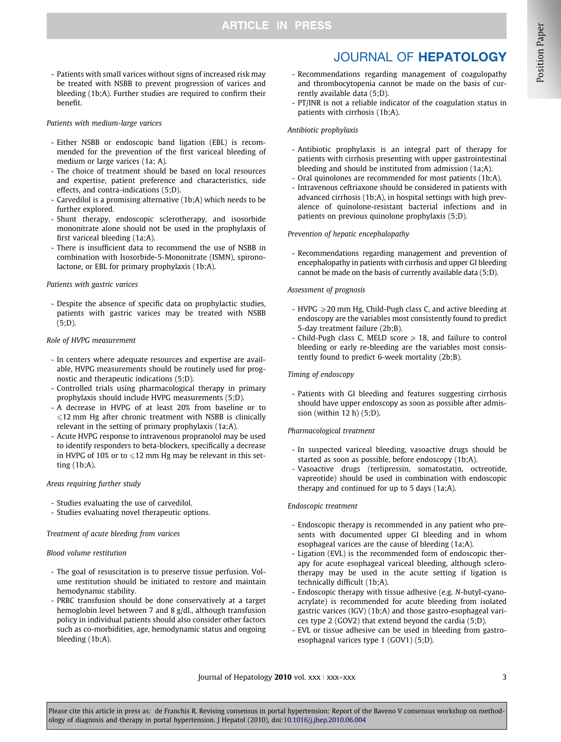- Patients with small varices without signs of increased risk may be treated with NSBB to prevent progression of varices and bleeding (1b;A). Further studies are required to confirm their benefit.

# Patients with medium-large varices

- Either NSBB or endoscopic band ligation (EBL) is recommended for the prevention of the first variceal bleeding of medium or large varices (1a; A).
- The choice of treatment should be based on local resources and expertise, patient preference and characteristics, side effects, and contra-indications (5;D).
- Carvedilol is a promising alternative (1b;A) which needs to be further explored.
- Shunt therapy, endoscopic sclerotherapy, and isosorbide mononitrate alone should not be used in the prophylaxis of first variceal bleeding (1a;A).
- There is insufficient data to recommend the use of NSBB in combination with Isosorbide-5-Mononitrate (ISMN), spironolactone, or EBL for primary prophylaxis (1b;A).

# Patients with gastric varices

- Despite the absence of specific data on prophylactic studies, patients with gastric varices may be treated with NSBB (5;D).

#### Role of HVPG measurement

- In centers where adequate resources and expertise are available, HVPG measurements should be routinely used for prognostic and therapeutic indications (5;D).
- Controlled trials using pharmacological therapy in primary prophylaxis should include HVPG measurements (5;D).
- A decrease in HVPG of at least 20% from baseline or to  $\leqslant$ 12 mm Hg after chronic treatment with NSBB is clinically relevant in the setting of primary prophylaxis (1a;A).
- Acute HVPG response to intravenous propranolol may be used to identify responders to beta-blockers, specifically a decrease in HVPG of 10% or to  $\leq 12$  mm Hg may be relevant in this setting (1b;A).

# Areas requiring further study

- Studies evaluating the use of carvedilol.
- Studies evaluating novel therapeutic options.

# Treatment of acute bleeding from varices

# Blood volume restitution

- The goal of resuscitation is to preserve tissue perfusion. Volume restitution should be initiated to restore and maintain hemodynamic stability.
- PRBC transfusion should be done conservatively at a target hemoglobin level between 7 and 8 g/dl., although transfusion policy in individual patients should also consider other factors such as co-morbidities, age, hemodynamic status and ongoing bleeding (1b;A).

# JOURNAL OF HEPATOLOGY

- Recommendations regarding management of coagulopathy and thrombocytopenia cannot be made on the basis of currently available data (5;D).
- PT/INR is not a reliable indicator of the coagulation status in patients with cirrhosis (1b;A).

#### Antibiotic prophylaxis

- Antibiotic prophylaxis is an integral part of therapy for patients with cirrhosis presenting with upper gastrointestinal bleeding and should be instituted from admission (1a;A).
- Oral quinolones are recommended for most patients (1b;A).
- Intravenous ceftriaxone should be considered in patients with advanced cirrhosis (1b;A), in hospital settings with high prevalence of quinolone-resistant bacterial infections and in patients on previous quinolone prophylaxis (5;D).

# Prevention of hepatic encephalopathy

- Recommendations regarding management and prevention of encephalopathy in patients with cirrhosis and upper GI bleeding cannot be made on the basis of currently available data (5;D).

#### Assessment of prognosis

- $-$  HVPG  $\geqslant$  20 mm Hg. Child-Pugh class C, and active bleeding at endoscopy are the variables most consistently found to predict 5-day treatment failure (2b;B).
- Child-Pugh class C, MELD score  $\geq 18$ , and failure to control bleeding or early re-bleeding are the variables most consistently found to predict 6-week mortality (2b;B).

# Timing of endoscopy

- Patients with GI bleeding and features suggesting cirrhosis should have upper endoscopy as soon as possible after admission (within 12 h) (5;D).

# Pharmacological treatment

- In suspected variceal bleeding, vasoactive drugs should be started as soon as possible, before endoscopy (1b;A).
- Vasoactive drugs (terlipressin, somatostatin, octreotide, vapreotide) should be used in combination with endoscopic therapy and continued for up to 5 days (1a;A).

#### Endoscopic treatment

- Endoscopic therapy is recommended in any patient who presents with documented upper GI bleeding and in whom esophageal varices are the cause of bleeding (1a;A).
- Ligation (EVL) is the recommended form of endoscopic therapy for acute esophageal variceal bleeding, although sclerotherapy may be used in the acute setting if ligation is technically difficult (1b;A).
- Endoscopic therapy with tissue adhesive (e.g. N-butyl-cyanoacrylate) is recommended for acute bleeding from isolated gastric varices (IGV) (1b;A) and those gastro-esophageal varices type 2 (GOV2) that extend beyond the cardia (5;D).
- EVL or tissue adhesive can be used in bleeding from gastroesophageal varices type 1 (GOV1) (5;D).

# Journal of Hepatology 2010 vol.  $xxx + xxx$   $\rightarrow$  3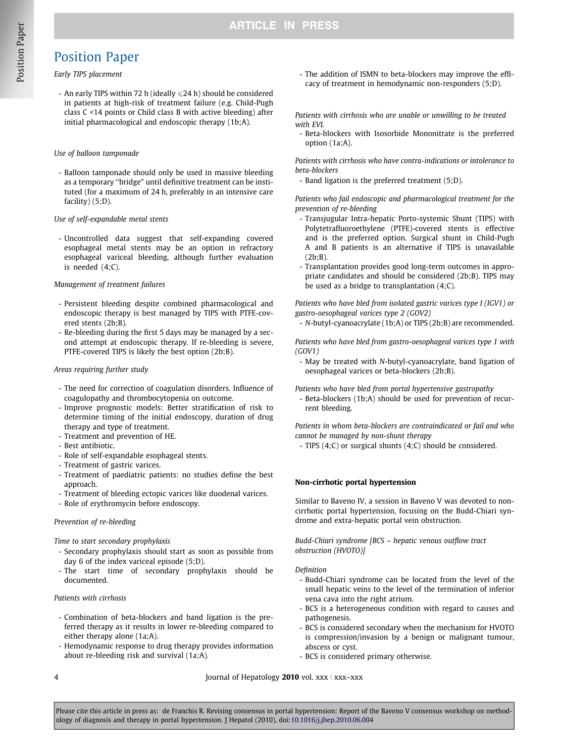# Position Paper

Early TIPS placement

- An early TIPS within 72 h (ideally  $\leq$  24 h) should be considered in patients at high-risk of treatment failure (e.g. Child-Pugh class C <14 points or Child class B with active bleeding) after initial pharmacological and endoscopic therapy (1b;A).

# Use of balloon tamponade

- Balloon tamponade should only be used in massive bleeding as a temporary ''bridge" until definitive treatment can be instituted (for a maximum of 24 h, preferably in an intensive care facility) (5;D).

# Use of self-expandable metal stents

- Uncontrolled data suggest that self-expanding covered esophageal metal stents may be an option in refractory esophageal variceal bleeding, although further evaluation is needed (4;C).

# Management of treatment failures

- Persistent bleeding despite combined pharmacological and endoscopic therapy is best managed by TIPS with PTFE-covered stents (2b;B).
- Re-bleeding during the first 5 days may be managed by a second attempt at endoscopic therapy. If re-bleeding is severe, PTFE-covered TIPS is likely the best option (2b;B).

# Areas requiring further study

- The need for correction of coagulation disorders. Influence of coagulopathy and thrombocytopenia on outcome.
- Improve prognostic models: Better stratification of risk to determine timing of the initial endoscopy, duration of drug therapy and type of treatment.
- Treatment and prevention of HE.
- Best antibiotic.
- Role of self-expandable esophageal stents.
- Treatment of gastric varices.
- Treatment of paediatric patients: no studies define the best approach.
- Treatment of bleeding ectopic varices like duodenal varices.
- Role of erythromycin before endoscopy.

# Prevention of re-bleeding

Time to start secondary prophylaxis

- Secondary prophylaxis should start as soon as possible from day 6 of the index variceal episode (5;D).
- The start time of secondary prophylaxis should be documented.

# Patients with cirrhosis

- Combination of beta-blockers and band ligation is the preferred therapy as it results in lower re-bleeding compared to either therapy alone (1a;A).
- Hemodynamic response to drug therapy provides information about re-bleeding risk and survival (1a;A).

- The addition of ISMN to beta-blockers may improve the efficacy of treatment in hemodynamic non-responders (5;D).

Patients with cirrhosis who are unable or unwilling to be treated with **FVI** 

- Beta-blockers with Isosorbide Mononitrate is the preferred option (1a;A).

Patients with cirrhosis who have contra-indications or intolerance to beta-blockers

- Band ligation is the preferred treatment (5;D).

Patients who fail endoscopic and pharmacological treatment for the prevention of re-bleeding

- Transjugular Intra-hepatic Porto-systemic Shunt (TIPS) with Polytetrafluoroethylene (PTFE)-covered stents is effective and is the preferred option. Surgical shunt in Child-Pugh A and B patients is an alternative if TIPS is unavailable (2b;B).
- Transplantation provides good long-term outcomes in appropriate candidates and should be considered (2b;B). TIPS may be used as a bridge to transplantation (4;C).

Patients who have bled from isolated gastric varices type I (IGV1) or gastro-oesophageal varices type 2 (GOV2)

- N-butyl-cyanoacrylate (1b;A) or TIPS (2b;B) are recommended.

Patients who have bled from gastro-oesophageal varices type 1 with (GOV1)

- May be treated with N-butyl-cyanoacrylate, band ligation of oesophageal varices or beta-blockers (2b;B).

Patients who have bled from portal hypertensive gastropathy

- Beta-blockers (1b;A) should be used for prevention of recurrent bleeding.

Patients in whom beta-blockers are contraindicated or fail and who cannot be managed by non-shunt therapy

- TIPS (4;C) or surgical shunts (4;C) should be considered.

# Non-cirrhotic portal hypertension

Similar to Baveno IV, a session in Baveno V was devoted to noncirrhotic portal hypertension, focusing on the Budd-Chiari syndrome and extra-hepatic portal vein obstruction.

Budd-Chiari syndrome [BCS – hepatic venous outflow tract obstruction (HVOTO)]

Definition

- Budd-Chiari syndrome can be located from the level of the small hepatic veins to the level of the termination of inferior vena cava into the right atrium.
- BCS is a heterogeneous condition with regard to causes and pathogenesis.
- BCS is considered secondary when the mechanism for HVOTO is compression/invasion by a benign or malignant tumour, abscess or cyst.
- BCS is considered primary otherwise.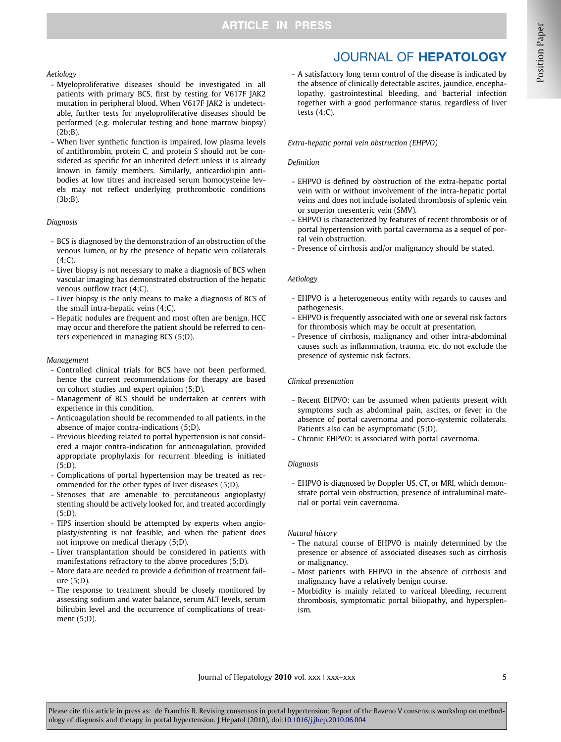# Aetiology

- Myeloproliferative diseases should be investigated in all patients with primary BCS, first by testing for V617F JAK2 mutation in peripheral blood. When V617F JAK2 is undetectable, further tests for myeloproliferative diseases should be performed (e.g. molecular testing and bone marrow biopsy) (2b;B).
- When liver synthetic function is impaired, low plasma levels of antithrombin, protein C, and protein S should not be considered as specific for an inherited defect unless it is already known in family members. Similarly, anticardiolipin antibodies at low titres and increased serum homocysteine levels may not reflect underlying prothrombotic conditions (3b;B).

# Diagnosis

- BCS is diagnosed by the demonstration of an obstruction of the venous lumen, or by the presence of hepatic vein collaterals  $(4 \cdot C)$
- Liver biopsy is not necessary to make a diagnosis of BCS when vascular imaging has demonstrated obstruction of the hepatic venous outflow tract (4;C).
- Liver biopsy is the only means to make a diagnosis of BCS of the small intra-hepatic veins (4;C).
- Hepatic nodules are frequent and most often are benign. HCC may occur and therefore the patient should be referred to centers experienced in managing BCS (5;D).

# Management

- Controlled clinical trials for BCS have not been performed, hence the current recommendations for therapy are based on cohort studies and expert opinion (5;D).
- Management of BCS should be undertaken at centers with experience in this condition.
- Anticoagulation should be recommended to all patients, in the absence of major contra-indications (5;D).
- Previous bleeding related to portal hypertension is not considered a major contra-indication for anticoagulation, provided appropriate prophylaxis for recurrent bleeding is initiated  $(5:D)$ .
- Complications of portal hypertension may be treated as recommended for the other types of liver diseases (5;D).
- Stenoses that are amenable to percutaneous angioplasty/ stenting should be actively looked for, and treated accordingly  $(5;D)$ .
- TIPS insertion should be attempted by experts when angioplasty/stenting is not feasible, and when the patient does not improve on medical therapy (5;D).
- Liver transplantation should be considered in patients with manifestations refractory to the above procedures (5;D).
- More data are needed to provide a definition of treatment failure (5;D).
- The response to treatment should be closely monitored by assessing sodium and water balance, serum ALT levels, serum bilirubin level and the occurrence of complications of treatment (5;D).

# JOURNAL OF HEPATOLOGY

- A satisfactory long term control of the disease is indicated by the absence of clinically detectable ascites, jaundice, encephalopathy, gastrointestinal bleeding, and bacterial infection together with a good performance status, regardless of liver tests  $(4;C)$ .

Extra-hepatic portal vein obstruction (EHPVO)

# Definition

- EHPVO is defined by obstruction of the extra-hepatic portal vein with or without involvement of the intra-hepatic portal veins and does not include isolated thrombosis of splenic vein or superior mesenteric vein (SMV).
- EHPVO is characterized by features of recent thrombosis or of portal hypertension with portal cavernoma as a sequel of portal vein obstruction.
- Presence of cirrhosis and/or malignancy should be stated.

# Aetiology

- EHPVO is a heterogeneous entity with regards to causes and pathogenesis.
- EHPVO is frequently associated with one or several risk factors for thrombosis which may be occult at presentation.
- Presence of cirrhosis, malignancy and other intra-abdominal causes such as inflammation, trauma, etc. do not exclude the presence of systemic risk factors.

# Clinical presentation

- Recent EHPVO: can be assumed when patients present with symptoms such as abdominal pain, ascites, or fever in the absence of portal cavernoma and porto-systemic collaterals. Patients also can be asymptomatic (5;D).
- Chronic EHPVO: is associated with portal cavernoma.

# Diagnosis

- EHPVO is diagnosed by Doppler US, CT, or MRI, which demonstrate portal vein obstruction, presence of intraluminal material or portal vein cavernoma.

# Natural history

- The natural course of EHPVO is mainly determined by the presence or absence of associated diseases such as cirrhosis or malignancy.
- Most patients with EHPVO in the absence of cirrhosis and malignancy have a relatively benign course.
- Morbidity is mainly related to variceal bleeding, recurrent thrombosis, symptomatic portal biliopathy, and hypersplenism.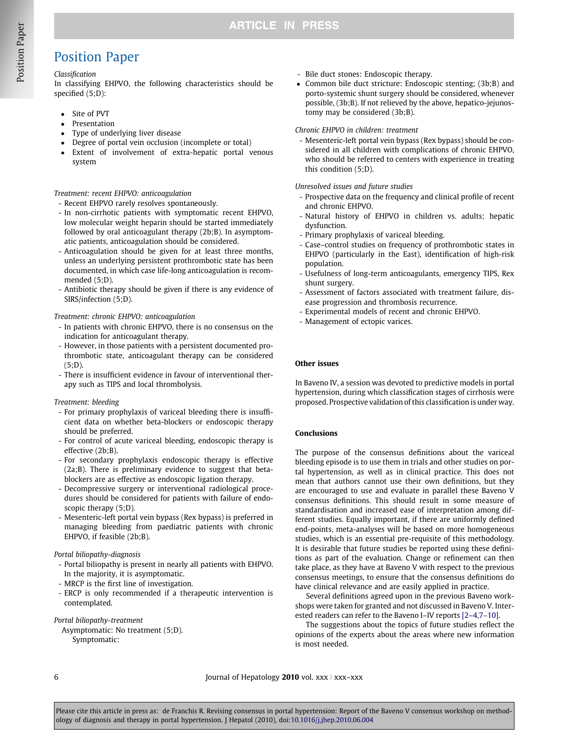# Position Paper

Classification

In classifying EHPVO, the following characteristics should be specified (5;D):

- Site of PVT
- Presentation
- Type of underlying liver disease
- Degree of portal vein occlusion (incomplete or total)
- Extent of involvement of extra-hepatic portal venous system

# Treatment: recent EHPVO: anticoagulation

- Recent EHPVO rarely resolves spontaneously.
- In non-cirrhotic patients with symptomatic recent EHPVO, low molecular weight heparin should be started immediately followed by oral anticoagulant therapy (2b;B). In asymptomatic patients, anticoagulation should be considered.
- Anticoagulation should be given for at least three months, unless an underlying persistent prothrombotic state has been documented, in which case life-long anticoagulation is recommended (5;D).
- Antibiotic therapy should be given if there is any evidence of SIRS/infection (5;D).

# Treatment: chronic EHPVO: anticoagulation

- In patients with chronic EHPVO, there is no consensus on the indication for anticoagulant therapy.
- However, in those patients with a persistent documented prothrombotic state, anticoagulant therapy can be considered  $(5;D)$ .
- There is insufficient evidence in favour of interventional therapy such as TIPS and local thrombolysis.

# Treatment: bleeding

- For primary prophylaxis of variceal bleeding there is insufficient data on whether beta-blockers or endoscopic therapy should be preferred.
- For control of acute variceal bleeding, endoscopic therapy is effective (2b;B).
- For secondary prophylaxis endoscopic therapy is effective (2a;B). There is preliminary evidence to suggest that betablockers are as effective as endoscopic ligation therapy.
- Decompressive surgery or interventional radiological procedures should be considered for patients with failure of endoscopic therapy (5;D).
- Mesenteric-left portal vein bypass (Rex bypass) is preferred in managing bleeding from paediatric patients with chronic EHPVO, if feasible (2b;B).

# Portal biliopathy-diagnosis

- Portal biliopathy is present in nearly all patients with EHPVO. In the majority, it is asymptomatic.
- MRCP is the first line of investigation.
- ERCP is only recommended if a therapeutic intervention is contemplated.

#### Portal biliopathy-treatment

Asymptomatic: No treatment (5;D). Symptomatic:

- Bile duct stones: Endoscopic therapy.
- Common bile duct stricture: Endoscopic stenting; (3b;B) and porto-systemic shunt surgery should be considered, whenever possible, (3b;B). If not relieved by the above, hepatico-jejunostomy may be considered (3b;B).

#### Chronic EHPVO in children: treatment

Mesenteric-left portal vein bypass (Rex bypass) should be considered in all children with complications of chronic EHPVO, who should be referred to centers with experience in treating this condition (5;D).

Unresolved issues and future studies

- Prospective data on the frequency and clinical profile of recent and chronic EHPVO.
- Natural history of EHPVO in children vs. adults; hepatic dysfunction.
- Primary prophylaxis of variceal bleeding.
- Case–control studies on frequency of prothrombotic states in EHPVO (particularly in the East), identification of high-risk population.
- Usefulness of long-term anticoagulants, emergency TIPS, Rex shunt surgery.
- Assessment of factors associated with treatment failure, disease progression and thrombosis recurrence.
- Experimental models of recent and chronic EHPVO.
- Management of ectopic varices.

# Other issues

In Baveno IV, a session was devoted to predictive models in portal hypertension, during which classification stages of cirrhosis were proposed. Prospective validation of this classification is under way.

# Conclusions

The purpose of the consensus definitions about the variceal bleeding episode is to use them in trials and other studies on portal hypertension, as well as in clinical practice. This does not mean that authors cannot use their own definitions, but they are encouraged to use and evaluate in parallel these Baveno V consensus definitions. This should result in some measure of standardisation and increased ease of interpretation among different studies. Equally important, if there are uniformly defined end-points, meta-analyses will be based on more homogeneous studies, which is an essential pre-requisite of this methodology. It is desirable that future studies be reported using these definitions as part of the evaluation. Change or refinement can then take place, as they have at Baveno V with respect to the previous consensus meetings, to ensure that the consensus definitions do have clinical relevance and are easily applied in practice.

Several definitions agreed upon in the previous Baveno workshops were taken for granted and not discussed in Baveno V. Interested readers can refer to the Baveno I–IV reports [\[2–4,7–10\]](#page-6-0).

The suggestions about the topics of future studies reflect the opinions of the experts about the areas where new information is most needed.